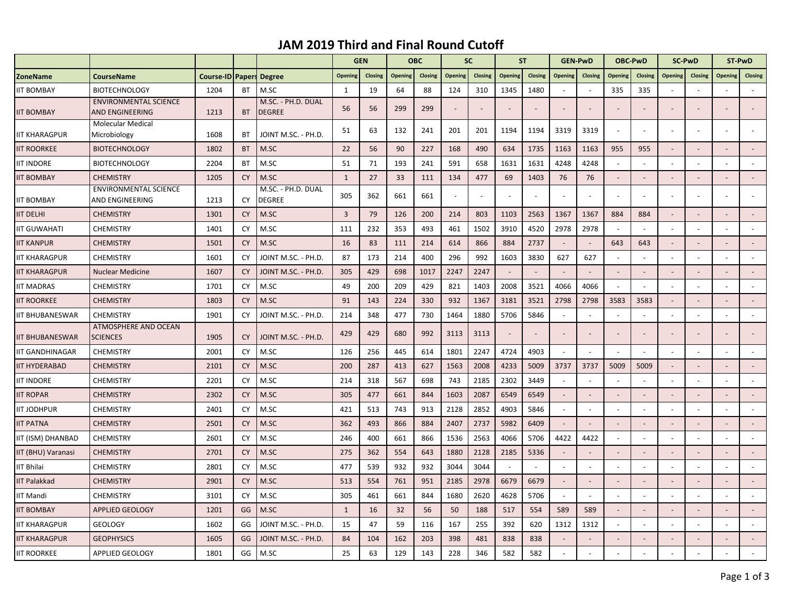## **JAM 2019 Third and Final Round Cutoff**

|                        |                                                        |                    |           |                                     | <b>GEN</b>     |         | <b>OBC</b>     |         | <b>SC</b> |         | <b>ST</b>      |         | <b>GEN PwD</b>           |                          | <b>OBC-PwD</b>           |                | <b>SC-PwD</b>  |                          | <b>ST-PwD</b> |         |
|------------------------|--------------------------------------------------------|--------------------|-----------|-------------------------------------|----------------|---------|----------------|---------|-----------|---------|----------------|---------|--------------------------|--------------------------|--------------------------|----------------|----------------|--------------------------|---------------|---------|
| ZoneName               | <b>CourseName</b>                                      | Course-ID   Papers |           | <b>Degree</b>                       | <b>Opening</b> | Closing | <b>Opening</b> | Closing | Opening   | Closing | <b>Opening</b> | Closing | <b>Opening</b>           | Closing                  | Opening                  | Closing        | <b>Opening</b> | Closing                  | Opening       | Closing |
| <b>IIT BOMBAY</b>      | <b>BIOTECHNOLOGY</b>                                   | 1204               | <b>BT</b> | M.SC                                | 1              | 19      | 64             | 88      | 124       | 310     | 1345           | 1480    |                          | $\sim$                   | 335                      | 335            |                | $\blacksquare$           |               |         |
| IIT BOMBAY             | <b>ENVIRONMENTAL SCIENCE</b><br><b>AND ENGINEERING</b> | 1213               | <b>BT</b> | M.SC. - PH.D. DUAL<br><b>DEGREE</b> | 56             | 56      | 299            | 299     |           |         |                |         |                          |                          |                          |                |                |                          |               |         |
| IIT KHARAGPUR          | <b>Molecular Medical</b><br>Microbiology               | 1608               | ВT        | JOINT M.SC. - PH.D.                 | 51             | 63      | 132            | 241     | 201       | 201     | 1194           | 1194    | 3319                     | 3319                     | $\sim$                   |                |                | $\equiv$                 |               |         |
| <b>IIT ROORKEE</b>     | <b>BIOTECHNOLOGY</b>                                   | 1802               | <b>BT</b> | M.SC                                | 22             | 56      | 90             | 227     | 168       | 490     | 634            | 1735    | 1163                     | 1163                     | 955                      | 955            |                |                          |               |         |
| IIT INDORE             | <b>BIOTECHNOLOGY</b>                                   | 2204               | <b>BT</b> | M.SC                                | 51             | 71      | 193            | 241     | 591       | 658     | 1631           | 1631    | 4248                     | 4248                     |                          |                |                |                          |               |         |
| IIT BOMBAY             | <b>CHEMISTRY</b>                                       | 1205               | <b>CY</b> | M.SC                                | $\mathbf{1}$   | 27      | 33             | 111     | 134       | 477     | 69             | 1403    | 76                       | 76                       | $\overline{\phantom{a}}$ |                |                | $\overline{\phantom{a}}$ |               |         |
| <b>IIT BOMBAY</b>      | <b>ENVIRONMENTAL SCIENCE</b><br>AND ENGINEERING        | 1213               | CY        | M.SC. - PH.D. DUAL<br><b>DEGREE</b> | 305            | 362     | 661            | 661     |           |         |                |         |                          |                          | $\sim$                   |                |                |                          |               |         |
| IIT DELHI              | <b>CHEMISTRY</b>                                       | 1301               | <b>CY</b> | M.SC                                | $\overline{3}$ | 79      | 126            | 200     | 214       | 803     | 1103           | 2563    | 1367                     | 1367                     | 884                      | 884            |                |                          |               |         |
| IIT GUWAHATI           | <b>CHEMISTRY</b>                                       | 1401               | CY        | M.SC                                | 111            | 232     | 353            | 493     | 461       | 1502    | 3910           | 4520    | 2978                     | 2978                     |                          |                |                | $\blacksquare$           |               |         |
| IIT KANPUR             | <b>CHEMISTRY</b>                                       | 1501               | <b>CY</b> | M.SC                                | 16             | 83      | 111            | 214     | 614       | 866     | 884            | 2737    |                          |                          | 643                      | 643            |                |                          |               |         |
| IIT KHARAGPUR          | <b>CHEMISTRY</b>                                       | 1601               | CY        | JOINT M.SC. - PH.D.                 | 87             | 173     | 214            | 400     | 296       | 992     | 1603           | 3830    | 627                      | 627                      |                          |                |                |                          |               |         |
| IIT KHARAGPUR          | <b>Nuclear Medicine</b>                                | 1607               | <b>CY</b> | JOINT M.SC. - PH.D.                 | 305            | 429     | 698            | 1017    | 2247      | 2247    | $\blacksquare$ |         |                          |                          |                          |                |                |                          |               |         |
| <b>IIT MADRAS</b>      | <b>CHEMISTRY</b>                                       | 1701               | CY        | M.SC                                | 49             | 200     | 209            | 429     | 821       | 1403    | 2008           | 3521    | 4066                     | 4066                     | $\sim$                   |                |                | $\omega$                 |               |         |
| <b>IIT ROORKEE</b>     | <b>CHEMISTRY</b>                                       | 1803               | <b>CY</b> | M.SC                                | 91             | 143     | 224            | 330     | 932       | 1367    | 3181           | 3521    | 2798                     | 2798                     | 3583                     | 3583           |                | $\blacksquare$           |               |         |
| <b>IIT BHUBANESWAR</b> | <b>CHEMISTRY</b>                                       | 1901               | CY        | JOINT M.SC. - PH.D.                 | 214            | 348     | 477            | 730     | 1464      | 1880    | 5706           | 5846    | $\sim$                   | $\mathcal{L}$            | $\omega$                 |                |                | $\sim$                   |               |         |
| <b>IIT BHUBANESWAR</b> | ATMOSPHERE AND OCEAN<br><b>SCIENCES</b>                | 1905               | <b>CY</b> | JOINT M.SC. - PH.D.                 | 429            | 429     | 680            | 992     | 3113      | 3113    | $\sim$         |         |                          |                          | $\sim$                   |                |                | $\overline{a}$           |               |         |
| IIT GANDHINAGAR        | <b>CHEMISTRY</b>                                       | 2001               | CY        | M.SC                                | 126            | 256     | 445            | 614     | 1801      | 2247    | 4724           | 4903    |                          |                          | $\sim$                   |                |                |                          |               |         |
| IIT HYDERABAD          | <b>CHEMISTRY</b>                                       | 2101               | <b>CY</b> | M.SC                                | 200            | 287     | 413            | 627     | 1563      | 2008    | 4233           | 5009    | 3737                     | 3737                     | 5009                     | 5009           |                |                          |               |         |
| <b>IIT INDORE</b>      | <b>CHEMISTRY</b>                                       | 2201               | CY        | M.SC                                | 214            | 318     | 567            | 698     | 743       | 2185    | 2302           | 3449    |                          | $\overline{\phantom{a}}$ | $\overline{\phantom{a}}$ |                |                | $\overline{\phantom{a}}$ |               |         |
| IIT ROPAR              | <b>CHEMISTRY</b>                                       | 2302               | <b>CY</b> | M.SC                                | 305            | 477     | 661            | 844     | 1603      | 2087    | 6549           | 6549    | $\blacksquare$           | $\sim$                   | $\overline{\phantom{a}}$ |                |                | $\overline{\phantom{a}}$ |               |         |
| <b>IIT JODHPUR</b>     | <b>CHEMISTRY</b>                                       | 2401               | CY        | M.SC                                | 421            | 513     | 743            | 913     | 2128      | 2852    | 4903           | 5846    | $\overline{\phantom{a}}$ |                          | $\sim$                   |                |                |                          |               |         |
| IIT PATNA              | <b>CHEMISTRY</b>                                       | 2501               | <b>CY</b> | M.SC                                | 362            | 493     | 866            | 884     | 2407      | 2737    | 5982           | 6409    |                          |                          |                          |                |                |                          |               |         |
| IIT (ISM) DHANBAD      | <b>CHEMISTRY</b>                                       | 2601               | CY        | M.SC                                | 246            | 400     | 661            | 866     | 1536      | 2563    | 4066           | 5706    | 4422                     | 4422                     | $\sim$                   | $\sim$         |                |                          |               |         |
| IIT (BHU) Varanasi     | <b>CHEMISTRY</b>                                       | 2701               | <b>CY</b> | M.SC                                | 275            | 362     | 554            | 643     | 1880      | 2128    | 2185           | 5336    |                          |                          | $\overline{\phantom{a}}$ |                |                |                          |               |         |
| IIT Bhilai             | <b>CHEMISTRY</b>                                       | 2801               | CY        | M.SC                                | 477            | 539     | 932            | 932     | 3044      | 3044    |                |         |                          |                          | $\sim$                   |                |                |                          |               |         |
| IIT Palakkad           | <b>CHEMISTRY</b>                                       | 2901               | <b>CY</b> | M.SC                                | 513            | 554     | 761            | 951     | 2185      | 2978    | 6679           | 6679    |                          |                          |                          |                |                |                          |               |         |
| IIT Mandi              | <b>CHEMISTRY</b>                                       | 3101               | <b>CY</b> | M.SC                                | 305            | 461     | 661            | 844     | 1680      | 2620    | 4628           | 5706    | $\overline{\phantom{a}}$ | $\sim$                   | $\sim$                   | $\blacksquare$ |                | $\blacksquare$           |               |         |
| <b>IIT BOMBAY</b>      | <b>APPLIED GEOLOGY</b>                                 | 1201               | GG        | M.SC                                | 1              | 16      | 32             | 56      | 50        | 188     | 517            | 554     | 589                      | 589                      | $\blacksquare$           |                |                | $\blacksquare$           |               |         |
| IIT KHARAGPUR          | <b>GEOLOGY</b>                                         | 1602               | GG        | JOINT M.SC. - PH.D.                 | 15             | 47      | 59             | 116     | 167       | 255     | 392            | 620     | 1312                     | 1312                     | $\overline{a}$           |                |                | $\sim$                   |               |         |
| IIT KHARAGPUR          | <b>GEOPHYSICS</b>                                      | 1605               | GG        | JOINT M.SC. - PH.D.                 | 84             | 104     | 162            | 203     | 398       | 481     | 838            | 838     |                          |                          |                          |                |                |                          |               |         |
| <b>IIT ROORKEE</b>     | APPLIED GEOLOGY                                        | 1801               | GG        | M.SC                                | 25             | 63      | 129            | 143     | 228       | 346     | 582            | 582     | $\blacksquare$           |                          | $\omega$                 |                |                | $\Box$                   |               |         |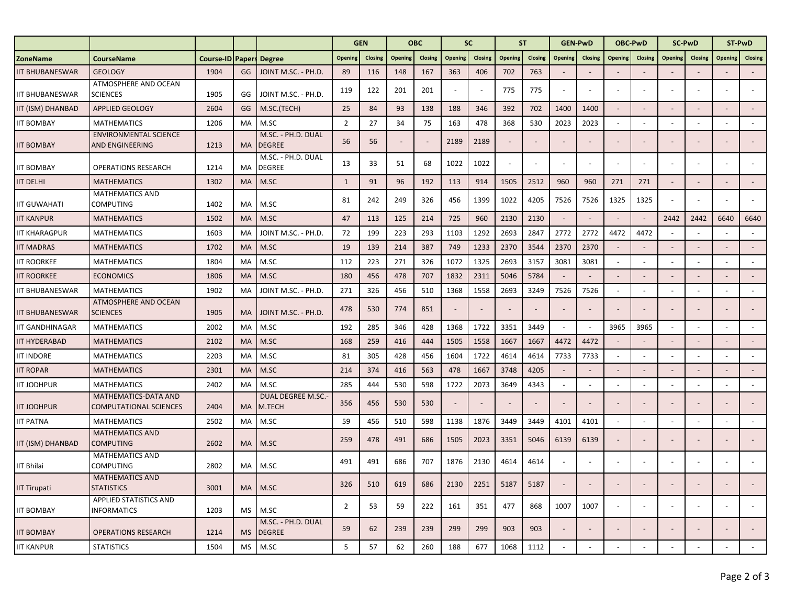|                     |                                                              |                         |           |                                     | <b>GEN</b>     |         | <b>OBC</b> |         | <b>SC</b> |                | <b>ST</b>                |         | <b>GEN-PwD</b>           |                          | <b>OBC-PwD</b>           |                          | <b>SC-PwD</b>            |                          | ST-PwD  |                          |
|---------------------|--------------------------------------------------------------|-------------------------|-----------|-------------------------------------|----------------|---------|------------|---------|-----------|----------------|--------------------------|---------|--------------------------|--------------------------|--------------------------|--------------------------|--------------------------|--------------------------|---------|--------------------------|
| ZoneName            | <b>CourseName</b>                                            | <b>Course-ID Papers</b> |           | <b>Degree</b>                       | Opening        | Closing | Opening    | Closing | Opening   | Closing        | Opening                  | Closing | Opening                  | Closing                  | <b>Opening</b>           | Closing                  | Opening                  | Closing                  | Opening | Closing                  |
| IIT BHUBANESWAR     | <b>GEOLOGY</b>                                               | 1904                    | GG        | JOINT M.SC. - PH.D.                 | 89             | 116     | 148        | 167     | 363       | 406            | 702                      | 763     |                          | $\overline{\phantom{a}}$ |                          | $\overline{\phantom{a}}$ | $\overline{\phantom{a}}$ |                          |         |                          |
| IIT BHUBANESWAR     | ATMOSPHERE AND OCEAN<br><b>SCIENCES</b>                      | 1905                    | GG        | JOINT M.SC. - PH.D.                 | 119            | 122     | 201        | 201     |           |                | 775                      | 775     | $\overline{\phantom{a}}$ | $\omega$                 |                          |                          |                          |                          |         |                          |
| IIT (ISM) DHANBAD   | <b>APPLIED GEOLOGY</b>                                       | 2604                    | GG        | M.SC.(TECH)                         | 25             | 84      | 93         | 138     | 188       | 346            | 392                      | 702     | 1400                     | 1400                     |                          |                          |                          |                          |         |                          |
| <b>IIT BOMBAY</b>   | <b>MATHEMATICS</b>                                           | 1206                    | MA        | M.SC                                | $\overline{2}$ | 27      | 34         | 75      | 163       | 478            | 368                      | 530     | 2023                     | 2023                     |                          |                          |                          |                          |         |                          |
| <b>IIT BOMBAY</b>   | <b>ENVIRONMENTAL SCIENCE</b><br>AND ENGINEERING              | 1213                    | <b>MA</b> | M.SC. - PH.D. DUAL<br><b>DEGREE</b> | 56             | 56      |            |         | 2189      | 2189           | $\overline{\phantom{a}}$ |         |                          |                          |                          |                          |                          |                          |         |                          |
| IIT BOMBAY          | <b>OPERATIONS RESEARCH</b>                                   | 1214                    | MA        | M.SC. - PH.D. DUAL<br><b>DEGREE</b> | 13             | 33      | 51         | 68      | 1022      | 1022           | $\blacksquare$           |         |                          | $\overline{\phantom{a}}$ |                          |                          |                          |                          |         |                          |
| IIT DELHI           | <b>MATHEMATICS</b>                                           | 1302                    | <b>MA</b> | M.SC                                | $\mathbf{1}$   | 91      | 96         | 192     | 113       | 914            | 1505                     | 2512    | 960                      | 960                      | 271                      | 271                      |                          |                          |         |                          |
| IIT GUWAHATI        | <b>MATHEMATICS AND</b><br>COMPUTING                          | 1402                    | MA        | M.SC                                | 81             | 242     | 249        | 326     | 456       | 1399           | 1022                     | 4205    | 7526                     | 7526                     | 1325                     | 1325                     |                          |                          |         |                          |
| IIT KANPUR          | <b>MATHEMATICS</b>                                           | 1502                    | <b>MA</b> | M.SC                                | 47             | 113     | 125        | 214     | 725       | 960            | 2130                     | 2130    |                          |                          |                          |                          | 2442                     | 2442                     | 6640    | 6640                     |
| IIT KHARAGPUR       | <b>MATHEMATICS</b>                                           | 1603                    | MA        | JOINT M.SC. - PH.D.                 | 72             | 199     | 223        | 293     | 1103      | 1292           | 2693                     | 2847    | 2772                     | 2772                     | 4472                     | 4472                     |                          |                          |         |                          |
| <b>IT MADRAS</b>    | <b>MATHEMATICS</b>                                           | 1702                    | <b>MA</b> | M.SC                                | 19             | 139     | 214        | 387     | 749       | 1233           | 2370                     | 3544    | 2370                     | 2370                     |                          |                          |                          |                          |         |                          |
| IIT ROORKEE         | <b>MATHEMATICS</b>                                           | 1804                    | MA        | M.SC                                | 112            | 223     | 271        | 326     | 1072      | 1325           | 2693                     | 3157    | 3081                     | 3081                     |                          |                          |                          |                          |         |                          |
| IIT ROORKEE         | <b>ECONOMICS</b>                                             | 1806                    | <b>MA</b> | M.SC                                | 180            | 456     | 478        | 707     | 1832      | 2311           | 5046                     | 5784    |                          |                          |                          |                          |                          |                          |         |                          |
| IIT BHUBANESWAR     | <b>MATHEMATICS</b>                                           | 1902                    | MA.       | JOINT M.SC. - PH.D.                 | 271            | 326     | 456        | 510     | 1368      | 1558           | 2693                     | 3249    | 7526                     | 7526                     |                          |                          |                          |                          |         |                          |
| IIT BHUBANESWAR     | ATMOSPHERE AND OCEAN<br><b>SCIENCES</b>                      | 1905                    | MA        | JOINT M.SC. - PH.D.                 | 478            | 530     | 774        | 851     |           | $\overline{a}$ | $\sim$                   |         |                          | $\overline{\phantom{a}}$ |                          |                          |                          |                          |         |                          |
| IIT GANDHINAGAR     | <b>MATHEMATICS</b>                                           | 2002                    | MA        | M.SC                                | 192            | 285     | 346        | 428     | 1368      | 1722           | 3351                     | 3449    | $\overline{\phantom{a}}$ | $\sim$                   | 3965                     | 3965                     |                          |                          |         |                          |
| IIT HYDERABAD       | <b>MATHEMATICS</b>                                           | 2102                    | <b>MA</b> | M.SC                                | 168            | 259     | 416        | 444     | 1505      | 1558           | 1667                     | 1667    | 4472                     | 4472                     |                          |                          |                          |                          |         |                          |
| IIT INDORE          | <b>MATHEMATICS</b>                                           | 2203                    | MA        | M.SC                                | 81             | 305     | 428        | 456     | 1604      | 1722           | 4614                     | 4614    | 7733                     | 7733                     |                          |                          |                          |                          |         |                          |
| <b>IIT ROPAR</b>    | <b>MATHEMATICS</b>                                           | 2301                    | <b>MA</b> | M.SC                                | 214            | 374     | 416        | 563     | 478       | 1667           | 3748                     | 4205    |                          | $\overline{\phantom{a}}$ |                          |                          |                          |                          |         |                          |
| <b>IIT JODHPUR</b>  | <b>MATHEMATICS</b>                                           | 2402                    | MA        | M.SC                                | 285            | 444     | 530        | 598     | 1722      | 2073           | 3649                     | 4343    |                          |                          |                          |                          |                          |                          |         |                          |
| <b>IIT JODHPUR</b>  | <b>MATHEMATICS-DATA AND</b><br><b>COMPUTATIONAL SCIENCES</b> | 2404                    | <b>MA</b> | DUAL DEGREE M.SC.<br>M.TECH         | 356            | 456     | 530        | 530     |           |                |                          |         |                          |                          |                          |                          |                          |                          |         |                          |
| IIT PATNA           | <b>MATHEMATICS</b>                                           | 2502                    | MA        | M.SC                                | 59             | 456     | 510        | 598     | 1138      | 1876           | 3449                     | 3449    | 4101                     | 4101                     |                          |                          |                          |                          |         |                          |
| IIT (ISM) DHANBAD   | <b>MATHEMATICS AND</b><br><b>COMPUTING</b>                   | 2602                    | MA.       | M.SC                                | 259            | 478     | 491        | 686     | 1505      | 2023           | 3351                     | 5046    | 6139                     | 6139                     | $\overline{\phantom{a}}$ |                          |                          |                          |         |                          |
| IIT Bhilai          | <b>MATHEMATICS AND</b><br>COMPUTING                          | 2802                    | MA        | M.SC                                | 491            | 491     | 686        | 707     | 1876      | 2130           | 4614                     | 4614    |                          |                          |                          |                          |                          |                          |         |                          |
| <b>IIT Tirupati</b> | <b>MATHEMATICS AND</b><br><b>STATISTICS</b>                  | 3001                    | MA .      | M.SC                                | 326            | 510     | 619        | 686     | 2130      | 2251           | 5187                     | 5187    | $\overline{\phantom{a}}$ | $\overline{\phantom{a}}$ |                          | $\overline{\phantom{a}}$ | $\overline{\phantom{a}}$ | $\overline{\phantom{a}}$ |         |                          |
| <b>IIT BOMBAY</b>   | APPLIED STATISTICS AND<br><b>INFORMATICS</b>                 | 1203                    |           | MS   M.SC                           | $\overline{2}$ | 53      | 59         | 222     | 161       | 351            | 477                      | 868     | 1007                     | 1007                     | $\sim$                   | $\overline{\phantom{a}}$ | $\sim$                   | $\sim$                   |         | $\sim$                   |
| <b>IIT BOMBAY</b>   | <b>OPERATIONS RESEARCH</b>                                   | 1214                    | MS.       | M.SC. - PH.D. DUAL<br><b>DEGREE</b> | 59             | 62      | 239        | 239     | 299       | 299            | 903                      | 903     |                          | $\overline{\phantom{a}}$ |                          |                          | $\overline{\phantom{a}}$ |                          |         | $\overline{\phantom{a}}$ |
| <b>IIT KANPUR</b>   | <b>STATISTICS</b>                                            | 1504                    | MS        | M.SC                                | 5              | 57      | 62         | 260     | 188       | 677            | 1068                     | 1112    | $\overline{\phantom{a}}$ | $\overline{\phantom{a}}$ |                          | $\overline{\phantom{a}}$ | $\overline{\phantom{a}}$ |                          |         | $\sim$                   |